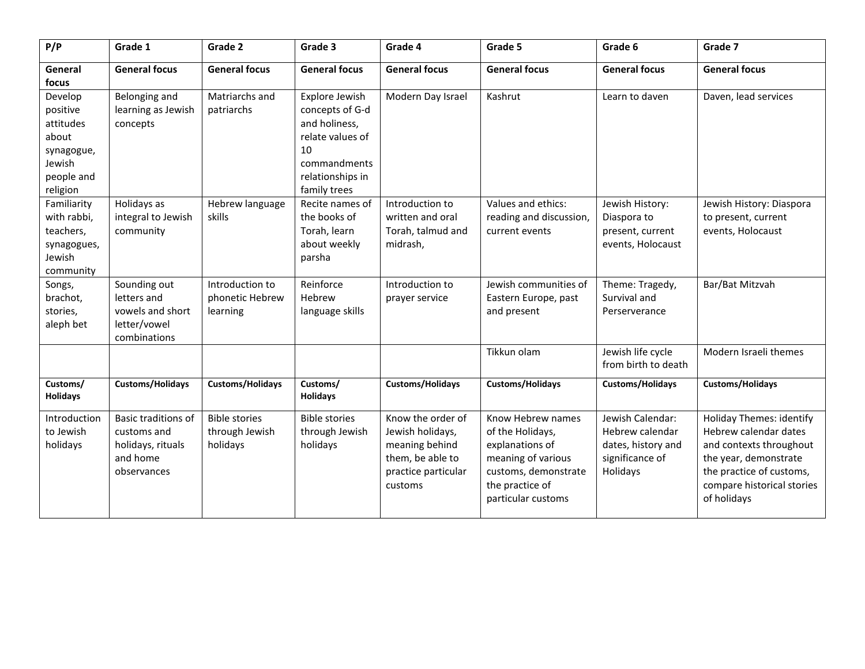| P/P                         | Grade 1                 | Grade 2                 | Grade 3                     | Grade 4                 | Grade 5                 | Grade 6              | Grade 7                         |
|-----------------------------|-------------------------|-------------------------|-----------------------------|-------------------------|-------------------------|----------------------|---------------------------------|
| General                     | <b>General focus</b>    | <b>General focus</b>    | <b>General focus</b>        | <b>General focus</b>    | <b>General focus</b>    | <b>General focus</b> | <b>General focus</b>            |
| focus                       |                         |                         |                             |                         |                         |                      |                                 |
| Develop                     | Belonging and           | Matriarchs and          | Explore Jewish              | Modern Day Israel       | Kashrut                 | Learn to daven       | Daven, lead services            |
| positive                    | learning as Jewish      | patriarchs              | concepts of G-d             |                         |                         |                      |                                 |
| attitudes                   | concepts                |                         | and holiness,               |                         |                         |                      |                                 |
| about                       |                         |                         | relate values of            |                         |                         |                      |                                 |
| synagogue,                  |                         |                         | 10 <sup>1</sup>             |                         |                         |                      |                                 |
| Jewish                      |                         |                         | commandments                |                         |                         |                      |                                 |
| people and                  |                         |                         | relationships in            |                         |                         |                      |                                 |
| religion                    |                         |                         | family trees                |                         |                         |                      |                                 |
| Familiarity                 | Holidays as             | Hebrew language         | Recite names of             | Introduction to         | Values and ethics:      | Jewish History:      | Jewish History: Diaspora        |
| with rabbi,                 | integral to Jewish      | skills                  | the books of                | written and oral        | reading and discussion, | Diaspora to          | to present, current             |
| teachers,                   | community               |                         | Torah, learn                | Torah, talmud and       | current events          | present, current     | events, Holocaust               |
| synagogues,                 |                         |                         | about weekly                | midrash,                |                         | events, Holocaust    |                                 |
| Jewish                      |                         |                         | parsha                      |                         |                         |                      |                                 |
| community                   |                         |                         |                             |                         |                         |                      |                                 |
| Songs,                      | Sounding out            | Introduction to         | Reinforce                   | Introduction to         | Jewish communities of   | Theme: Tragedy,      | Bar/Bat Mitzvah                 |
| brachot,                    | letters and             | phonetic Hebrew         | Hebrew                      | prayer service          | Eastern Europe, past    | Survival and         |                                 |
| stories,                    | vowels and short        | learning                | language skills             |                         | and present             | Perserverance        |                                 |
| aleph bet                   | letter/vowel            |                         |                             |                         |                         |                      |                                 |
|                             | combinations            |                         |                             |                         |                         |                      |                                 |
|                             |                         |                         |                             |                         | Tikkun olam             | Jewish life cycle    | Modern Israeli themes           |
|                             |                         |                         |                             |                         |                         | from birth to death  |                                 |
| Customs/<br><b>Holidays</b> | <b>Customs/Holidays</b> | <b>Customs/Holidays</b> | Customs/<br><b>Holidays</b> | <b>Customs/Holidays</b> | <b>Customs/Holidays</b> | Customs/Holidays     | <b>Customs/Holidays</b>         |
| Introduction                | Basic traditions of     | <b>Bible stories</b>    | <b>Bible stories</b>        | Know the order of       | Know Hebrew names       | Jewish Calendar:     | <b>Holiday Themes: identify</b> |
| to Jewish                   | customs and             | through Jewish          | through Jewish              | Jewish holidays,        | of the Holidays,        | Hebrew calendar      | Hebrew calendar dates           |
| holidays                    | holidays, rituals       | holidays                | holidays                    | meaning behind          | explanations of         | dates, history and   | and contexts throughout         |
|                             | and home                |                         |                             | them, be able to        | meaning of various      | significance of      | the year, demonstrate           |
|                             | observances             |                         |                             | practice particular     | customs, demonstrate    | Holidays             | the practice of customs,        |
|                             |                         |                         |                             | customs                 | the practice of         |                      | compare historical stories      |
|                             |                         |                         |                             |                         | particular customs      |                      | of holidays                     |
|                             |                         |                         |                             |                         |                         |                      |                                 |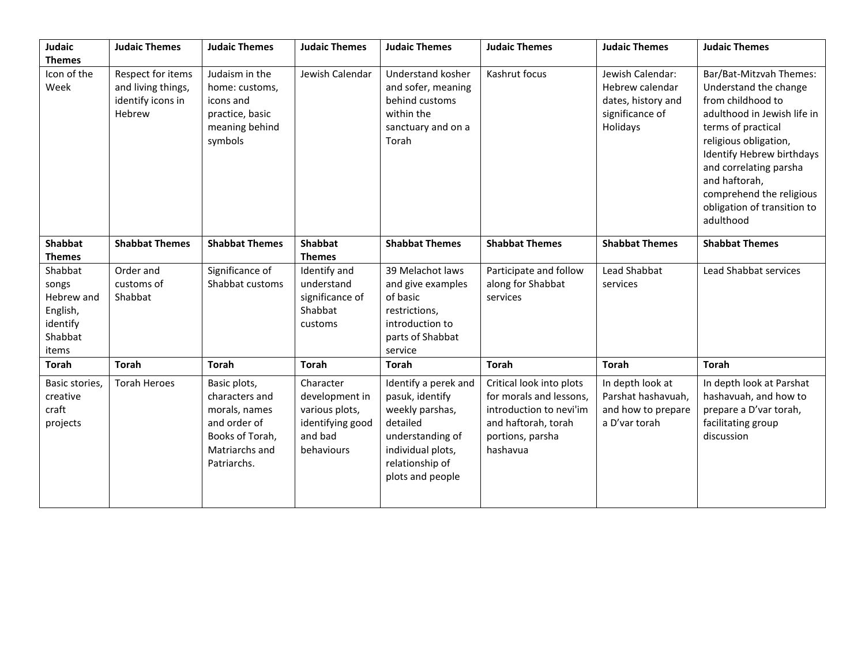| Judaic                                                                     | <b>Judaic Themes</b>                                                   | <b>Judaic Themes</b>                                                                                                | <b>Judaic Themes</b>                                                                       | <b>Judaic Themes</b>                                                                                                                                   | <b>Judaic Themes</b>                                                                                                                  | <b>Judaic Themes</b>                                                                     | <b>Judaic Themes</b>                                                                                                                                                                                                                                                                                |
|----------------------------------------------------------------------------|------------------------------------------------------------------------|---------------------------------------------------------------------------------------------------------------------|--------------------------------------------------------------------------------------------|--------------------------------------------------------------------------------------------------------------------------------------------------------|---------------------------------------------------------------------------------------------------------------------------------------|------------------------------------------------------------------------------------------|-----------------------------------------------------------------------------------------------------------------------------------------------------------------------------------------------------------------------------------------------------------------------------------------------------|
| <b>Themes</b>                                                              |                                                                        |                                                                                                                     |                                                                                            |                                                                                                                                                        |                                                                                                                                       |                                                                                          |                                                                                                                                                                                                                                                                                                     |
| Icon of the<br>Week                                                        | Respect for items<br>and living things,<br>identify icons in<br>Hebrew | Judaism in the<br>home: customs,<br>icons and<br>practice, basic<br>meaning behind<br>symbols                       | Jewish Calendar                                                                            | Understand kosher<br>and sofer, meaning<br>behind customs<br>within the<br>sanctuary and on a<br>Torah                                                 | Kashrut focus                                                                                                                         | Jewish Calendar:<br>Hebrew calendar<br>dates, history and<br>significance of<br>Holidays | Bar/Bat-Mitzvah Themes:<br>Understand the change<br>from childhood to<br>adulthood in Jewish life in<br>terms of practical<br>religious obligation,<br>Identify Hebrew birthdays<br>and correlating parsha<br>and haftorah,<br>comprehend the religious<br>obligation of transition to<br>adulthood |
| <b>Shabbat</b><br><b>Themes</b>                                            | <b>Shabbat Themes</b>                                                  | <b>Shabbat Themes</b>                                                                                               | Shabbat<br><b>Themes</b>                                                                   | <b>Shabbat Themes</b>                                                                                                                                  | <b>Shabbat Themes</b>                                                                                                                 | <b>Shabbat Themes</b>                                                                    | <b>Shabbat Themes</b>                                                                                                                                                                                                                                                                               |
| Shabbat<br>songs<br>Hebrew and<br>English,<br>identify<br>Shabbat<br>items | Order and<br>customs of<br>Shabbat                                     | Significance of<br>Shabbat customs                                                                                  | Identify and<br>understand<br>significance of<br>Shabbat<br>customs                        | 39 Melachot laws<br>and give examples<br>of basic<br>restrictions,<br>introduction to<br>parts of Shabbat<br>service                                   | Participate and follow<br>along for Shabbat<br>services                                                                               | <b>Lead Shabbat</b><br>services                                                          | Lead Shabbat services                                                                                                                                                                                                                                                                               |
| Torah                                                                      | <b>Torah</b>                                                           | <b>Torah</b>                                                                                                        | <b>Torah</b>                                                                               | Torah                                                                                                                                                  | <b>Torah</b>                                                                                                                          | <b>Torah</b>                                                                             | Torah                                                                                                                                                                                                                                                                                               |
| Basic stories,<br>creative<br>craft<br>projects                            | <b>Torah Heroes</b>                                                    | Basic plots,<br>characters and<br>morals, names<br>and order of<br>Books of Torah,<br>Matriarchs and<br>Patriarchs. | Character<br>development in<br>various plots,<br>identifying good<br>and bad<br>behaviours | Identify a perek and<br>pasuk, identify<br>weekly parshas,<br>detailed<br>understanding of<br>individual plots,<br>relationship of<br>plots and people | Critical look into plots<br>for morals and lessons,<br>introduction to nevi'im<br>and haftorah, torah<br>portions, parsha<br>hashavua | In depth look at<br>Parshat hashavuah,<br>and how to prepare<br>a D'var torah            | In depth look at Parshat<br>hashavuah, and how to<br>prepare a D'var torah,<br>facilitating group<br>discussion                                                                                                                                                                                     |